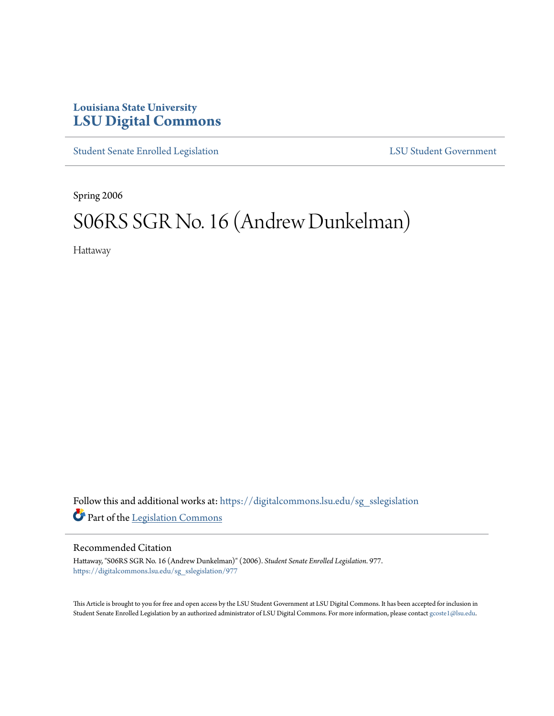## **Louisiana State University [LSU Digital Commons](https://digitalcommons.lsu.edu?utm_source=digitalcommons.lsu.edu%2Fsg_sslegislation%2F977&utm_medium=PDF&utm_campaign=PDFCoverPages)**

[Student Senate Enrolled Legislation](https://digitalcommons.lsu.edu/sg_sslegislation?utm_source=digitalcommons.lsu.edu%2Fsg_sslegislation%2F977&utm_medium=PDF&utm_campaign=PDFCoverPages) [LSU Student Government](https://digitalcommons.lsu.edu/sg?utm_source=digitalcommons.lsu.edu%2Fsg_sslegislation%2F977&utm_medium=PDF&utm_campaign=PDFCoverPages)

Spring 2006

# S06RS SGR No. 16 (Andrew Dunkelman)

Hattaway

Follow this and additional works at: [https://digitalcommons.lsu.edu/sg\\_sslegislation](https://digitalcommons.lsu.edu/sg_sslegislation?utm_source=digitalcommons.lsu.edu%2Fsg_sslegislation%2F977&utm_medium=PDF&utm_campaign=PDFCoverPages) Part of the [Legislation Commons](http://network.bepress.com/hgg/discipline/859?utm_source=digitalcommons.lsu.edu%2Fsg_sslegislation%2F977&utm_medium=PDF&utm_campaign=PDFCoverPages)

#### Recommended Citation

Hattaway, "S06RS SGR No. 16 (Andrew Dunkelman)" (2006). *Student Senate Enrolled Legislation*. 977. [https://digitalcommons.lsu.edu/sg\\_sslegislation/977](https://digitalcommons.lsu.edu/sg_sslegislation/977?utm_source=digitalcommons.lsu.edu%2Fsg_sslegislation%2F977&utm_medium=PDF&utm_campaign=PDFCoverPages)

This Article is brought to you for free and open access by the LSU Student Government at LSU Digital Commons. It has been accepted for inclusion in Student Senate Enrolled Legislation by an authorized administrator of LSU Digital Commons. For more information, please contact [gcoste1@lsu.edu.](mailto:gcoste1@lsu.edu)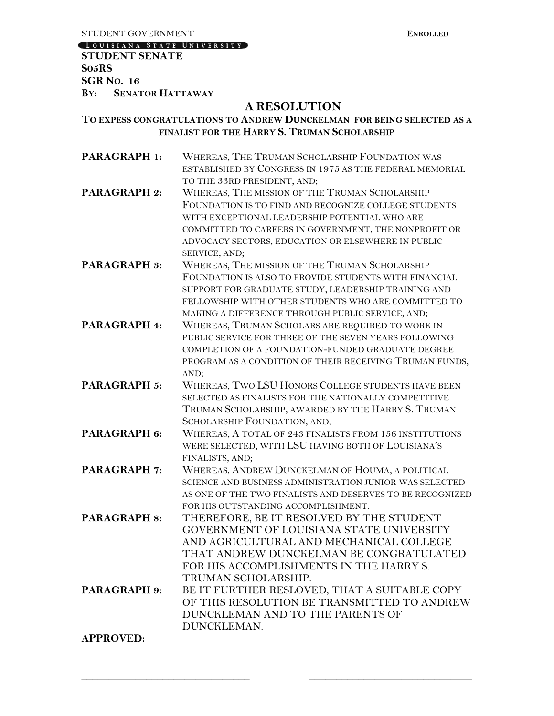**EXPLORED EXPLORED EXPLORED EXPLORED EXPLORED EXPLORED EXPLORED EXPLORED EXPLORED EXPLORED EXPLORED EXPLORED EXPLORED EXPLORED EXPLORED EXPLORED EXPLORED EXPLORED EXPLORED EXPLORED EXPLORED EXPLORED EXPLORED EXPLORED EXPLO** 

LOUISIANA STATE UNIVERSITY

**STUDENT SENATE S05RS SGR NO. 16 BY: SENATOR HATTAWAY**

### **A RESOLUTION**

#### **TO EXPESS CONGRATULATIONS TO ANDREW DUNCKELMAN FOR BEING SELECTED AS A FINALIST FOR THE HARRY S. TRUMAN SCHOLARSHIP**

| <b>PARAGRAPH 1:</b> | WHEREAS, THE TRUMAN SCHOLARSHIP FOUNDATION WAS            |
|---------------------|-----------------------------------------------------------|
|                     | ESTABLISHED BY CONGRESS IN 1975 AS THE FEDERAL MEMORIAL   |
|                     | TO THE 33RD PRESIDENT, AND;                               |
| <b>PARAGRAPH 2:</b> | WHEREAS, THE MISSION OF THE TRUMAN SCHOLARSHIP            |
|                     | FOUNDATION IS TO FIND AND RECOGNIZE COLLEGE STUDENTS      |
|                     | WITH EXCEPTIONAL LEADERSHIP POTENTIAL WHO ARE             |
|                     | COMMITTED TO CAREERS IN GOVERNMENT, THE NONPROFIT OR      |
|                     | ADVOCACY SECTORS, EDUCATION OR ELSEWHERE IN PUBLIC        |
|                     | SERVICE, AND;                                             |
| PARAGRAPH 3:        | WHEREAS, THE MISSION OF THE TRUMAN SCHOLARSHIP            |
|                     | FOUNDATION IS ALSO TO PROVIDE STUDENTS WITH FINANCIAL     |
|                     | SUPPORT FOR GRADUATE STUDY, LEADERSHIP TRAINING AND       |
|                     | FELLOWSHIP WITH OTHER STUDENTS WHO ARE COMMITTED TO       |
|                     | MAKING A DIFFERENCE THROUGH PUBLIC SERVICE, AND;          |
| <b>PARAGRAPH 4:</b> | WHEREAS, TRUMAN SCHOLARS ARE REQUIRED TO WORK IN          |
|                     | PUBLIC SERVICE FOR THREE OF THE SEVEN YEARS FOLLOWING     |
|                     | COMPLETION OF A FOUNDATION-FUNDED GRADUATE DEGREE         |
|                     | PROGRAM AS A CONDITION OF THEIR RECEIVING TRUMAN FUNDS,   |
|                     | AND;                                                      |
| <b>PARAGRAPH 5:</b> | WHEREAS, TWO LSU HONORS COLLEGE STUDENTS HAVE BEEN        |
|                     | SELECTED AS FINALISTS FOR THE NATIONALLY COMPETITIVE      |
|                     | TRUMAN SCHOLARSHIP, AWARDED BY THE HARRY S. TRUMAN        |
|                     | SCHOLARSHIP FOUNDATION, AND;                              |
| <b>PARAGRAPH 6:</b> | WHEREAS, A TOTAL OF 243 FINALISTS FROM 156 INSTITUTIONS   |
|                     | WERE SELECTED, WITH LSU HAVING BOTH OF LOUISIANA'S        |
|                     | FINALISTS, AND;                                           |
| PARAGRAPH 7:        | WHEREAS, ANDREW DUNCKELMAN OF HOUMA, A POLITICAL          |
|                     | SCIENCE AND BUSINESS ADMINISTRATION JUNIOR WAS SELECTED   |
|                     | AS ONE OF THE TWO FINALISTS AND DESERVES TO BE RECOGNIZED |
|                     | FOR HIS OUTSTANDING ACCOMPLISHMENT.                       |
| <b>PARAGRAPH 8:</b> | THEREFORE, BE IT RESOLVED BY THE STUDENT                  |
|                     | GOVERNMENT OF LOUISIANA STATE UNIVERSITY                  |
|                     | AND AGRICULTURAL AND MECHANICAL COLLEGE                   |
|                     | THAT ANDREW DUNCKELMAN BE CONGRATULATED                   |
|                     | FOR HIS ACCOMPLISHMENTS IN THE HARRY S.                   |
|                     | TRUMAN SCHOLARSHIP.                                       |
| <b>PARAGRAPH 9:</b> | BE IT FURTHER RESLOVED, THAT A SUITABLE COPY              |
|                     | OF THIS RESOLUTION BE TRANSMITTED TO ANDREW               |
|                     | DUNCKLEMAN AND TO THE PARENTS OF                          |
|                     | DUNCKLEMAN.                                               |
| <b>APPROVED:</b>    |                                                           |

**\_\_\_\_\_\_\_\_\_\_\_\_\_\_\_\_\_\_\_\_\_\_\_\_\_\_\_\_\_\_\_ \_\_\_\_\_\_\_\_\_\_\_\_\_\_\_\_\_\_\_\_\_\_\_\_\_\_\_\_\_\_**